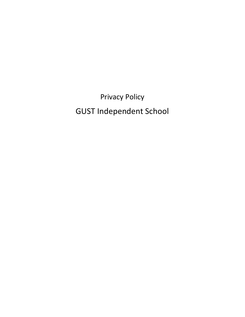Privacy Policy GUST Independent School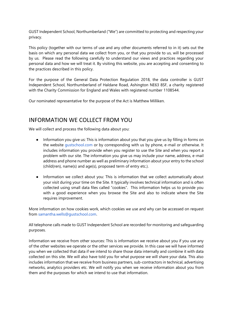GUST Independent School, Northumberland ("We") are committed to protecting and respecting your privacy.

This policy (together with our terms of use and any other documents referred to in it) sets out the basis on which any personal data we collect from you, or that you provide to us, will be processed by us. Please read the following carefully to understand our views and practices regarding your personal data and how we will treat it. By visiting this website, you are accepting and consenting to the practices described in this policy.

For the purpose of the General Data Protection Regulation 2018, the data controller is GUST Independent School, Northumberland of Haldane Road, Ashington NE63 8SF, a charity registered with the Charity Commission for England and Wales with registered number 1108544.

Our nominated representative for the purpose of the Act is Matthew Milliken.

#### INFORMATION WE COLLECT FROM YOU

We will collect and process the following data about you:

- Information you give us: This is information about you that you give us by filling in forms on the website [gustschool.com](http://www.gustschool.com/) or by corresponding with us by phone, e-mail or otherwise. It includes information you provide when you register to use the Site and when you report a problem with our site. The information you give us may include your name, address, e-mail address and phone number as well as preliminary information about your entry to the school (child(ren), name(s) and age(s), proposed term of entry etc.).
- Information we collect about you: This is information that we collect automatically about your visit during your time on the Site. It typically involves technical information and is often collected using small data files called "cookies". This information helps us to provide you with a good experience when you browse the Site and also to indicate where the Site requires improvement.

More information on how cookies work, which cookies we use and why can be accessed on request from [samantha.wells@gustschool.com.](mailto:samantha.wells@gustschool.com)

All telephone calls made to GUST Independent School are recorded for monitoring and safeguarding purposes.

Information we receive from other sources: This is information we receive about you if you use any of the other websites we operate or the other services we provide. In this case we will have informed you when we collected that data if we intend to share those data internally and combine it with data collected on this site. We will also have told you for what purpose we will share your data. This also includes information that we receive from business partners, sub-contractors in technical, advertising networks, analytics providers etc. We will notify you when we receive information about you from them and the purposes for which we intend to use that information.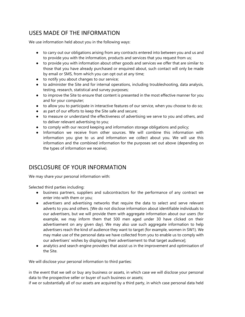# USES MADE OF THE INFORMATION

We use information held about you in the following ways:

- to carry out our obligations arising from any contracts entered into between you and us and to provide you with the information, products and services that you request from us;
- to provide you with information about other goods and services we offer that are similar to those that you have already purchased or enquired about, such contact will only be made by email or SMS, from which you can opt out at any time;
- to notify you about changes to our service;
- to administer the Site and for internal operations, including troubleshooting, data analysis, testing, research, statistical and survey purposes;
- to improve the Site to ensure that content is presented in the most effective manner for you and for your computer;
- to allow you to participate in interactive features of our service, when you choose to do so;
- as part of our efforts to keep the Site safe and secure;
- to measure or understand the effectiveness of advertising we serve to you and others, and to deliver relevant advertising to you;
- to comply with our record keeping and information storage obligations and policy;
- Information we receive from other sources. We will combine this information with information you give to us and information we collect about you. We will use this information and the combined information for the purposes set out above (depending on the types of information we receive).

## DISCLOSURE OF YOUR INFORMATION

We may share your personal information with:

Selected third parties including:

- business partners, suppliers and subcontractors for the performance of any contract we enter into with them or you;
- advertisers and advertising networks that require the data to select and serve relevant adverts to you and others. [We do not disclose information about identifiable individuals to our advertisers, but we will provide them with aggregate information about our users (for example, we may inform them that 500 men aged under 30 have clicked on their advertisement on any given day). We may also use such aggregate information to help advertisers reach the kind of audience they want to target (for example, women in SW1). We may make use of the personal data we have collected from you to enable us to comply with our advertisers' wishes by displaying their advertisement to that target audience];
- analytics and search engine providers that assist us in the improvement and optimisation of the Site.

We will disclose your personal information to third parties:

in the event that we sell or buy any business or assets, in which case we will disclose your personal data to the prospective seller or buyer of such business or assets;

if we or substantially all of our assets are acquired by a third party, in which case personal data held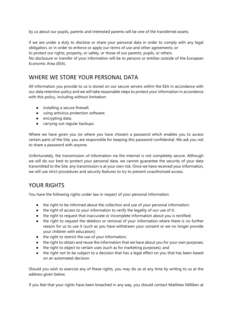by us about our pupils, parents and interested parents will be one of the transferred assets;

if we are under a duty to disclose or share your personal data in order to comply with any legal obligation, or in order to enforce or apply our terms of use and other agreements; or to protect our rights, property, or safety, or those of our parents, pupils, or others. No disclosure or transfer of your information will be to persons or entities outside of the European Economic Area (EEA).

#### WHERE WE STORE YOUR PERSONAL DATA

All information you provide to us is stored on our secure servers within the EEA in accordance with our data retention policy and we will take reasonable steps to protect your information in accordance with this policy, including without limitation:

- installing a secure firewall;
- using antivirus protection software;
- encrypting data;
- carrying out regular backups.

Where we have given you (or where you have chosen) a password which enables you to access certain parts of the Site, you are responsible for keeping this password confidential. We ask you not to share a password with anyone.

Unfortunately, the transmission of information via the internet is not completely secure. Although we will do our best to protect your personal data, we cannot guarantee the security of your data transmitted to the Site: any transmission is at your own risk. Once we have received your information, we will use strict procedures and security features to try to prevent unauthorised access.

## YOUR RIGHTS

You have the following rights under law in respect of your personal information:

- the right to be informed about the collection and use of your personal information;
- the right of access to your information to verify the legality of our use of it;
- the right to request that inaccurate or incomplete information about you is rectified;
- the right to request the deletion or removal of your information where there is no further reason for us to use it (such as you have withdrawn your consent or we no longer provide your children with education);
- the right to restrict the use of your information;
- the right to obtain and reuse the information that we have about you for your own purposes;
- the right to object to certain uses (such as for marketing purposes); and
- the right not to be subject to a decision that has a legal effect on you that has been based on an automated decision.

Should you wish to exercise any of these rights, you may do so at any time by writing to us at the address given below.

If you feel that your rights have been breached in any way, you should contact Matthew Milliken at